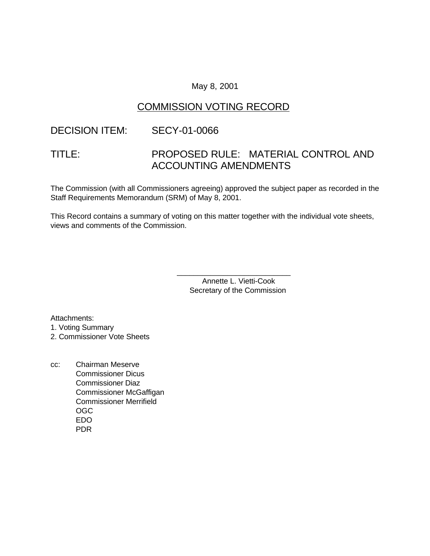#### May 8, 2001

### COMMISSION VOTING RECORD

### DECISION ITEM: SECY-01-0066

# TITLE: PROPOSED RULE: MATERIAL CONTROL AND ACCOUNTING AMENDMENTS

The Commission (with all Commissioners agreeing) approved the subject paper as recorded in the Staff Requirements Memorandum (SRM) of May 8, 2001.

This Record contains a summary of voting on this matter together with the individual vote sheets, views and comments of the Commission.

> Annette L. Vietti-Cook Secretary of the Commission

\_\_\_\_\_\_\_\_\_\_\_\_\_\_\_\_\_\_\_\_\_\_\_\_\_\_\_

Attachments:

1. Voting Summary

2. Commissioner Vote Sheets

cc: Chairman Meserve Commissioner Dicus Commissioner Diaz Commissioner McGaffigan Commissioner Merrifield OGC EDO PDR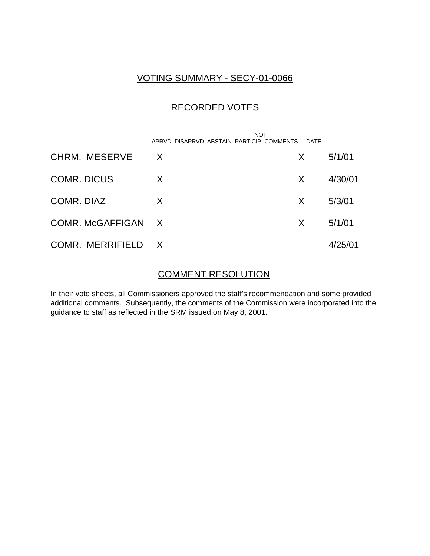### VOTING SUMMARY - SECY-01-0066

## RECORDED VOTES

|                    | <b>NOT</b><br>APRVD DISAPRVD ABSTAIN PARTICIP COMMENTS | DATE |         |
|--------------------|--------------------------------------------------------|------|---------|
| CHRM. MESERVE      | $\mathsf{X}$                                           | X.   | 5/1/01  |
| <b>COMR. DICUS</b> | X                                                      | X.   | 4/30/01 |
| COMR. DIAZ         | X                                                      | X.   | 5/3/01  |
| COMR. McGAFFIGAN X |                                                        | X.   | 5/1/01  |
| COMR. MERRIFIELD X |                                                        |      | 4/25/01 |

#### COMMENT RESOLUTION

In their vote sheets, all Commissioners approved the staff's recommendation and some provided additional comments. Subsequently, the comments of the Commission were incorporated into the guidance to staff as reflected in the SRM issued on May 8, 2001.